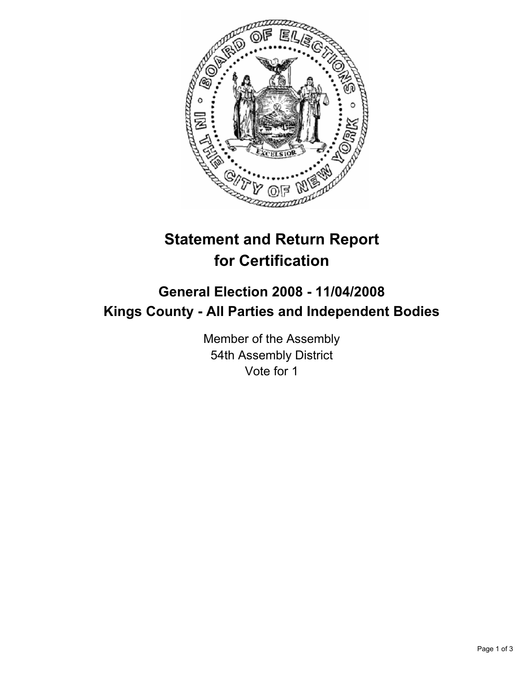

## **Statement and Return Report for Certification**

## **General Election 2008 - 11/04/2008 Kings County - All Parties and Independent Bodies**

Member of the Assembly 54th Assembly District Vote for 1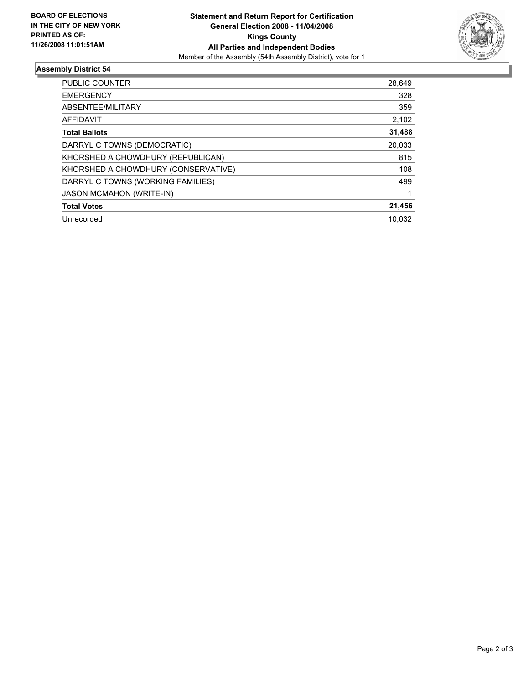

## **Assembly District 54**

| PUBLIC COUNTER                      | 28,649 |
|-------------------------------------|--------|
| <b>EMERGENCY</b>                    | 328    |
| ABSENTEE/MILITARY                   | 359    |
| AFFIDAVIT                           | 2,102  |
| <b>Total Ballots</b>                | 31,488 |
| DARRYL C TOWNS (DEMOCRATIC)         | 20,033 |
| KHORSHED A CHOWDHURY (REPUBLICAN)   | 815    |
| KHORSHED A CHOWDHURY (CONSERVATIVE) | 108    |
| DARRYL C TOWNS (WORKING FAMILIES)   | 499    |
| <b>JASON MCMAHON (WRITE-IN)</b>     |        |
| <b>Total Votes</b>                  | 21,456 |
| Unrecorded                          | 10.032 |